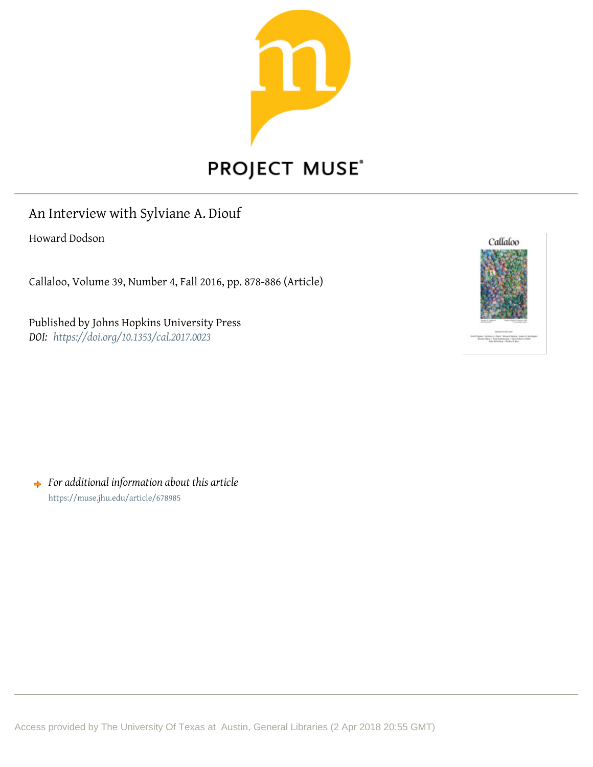

# **PROJECT MUSE®**

# An Interview with Sylviane A. Diouf

Howard Dodson

Callaloo, Volume 39, Number 4, Fall 2016, pp. 878-886 (Article)

Published by Johns Hopkins University Press *DOI: <https://doi.org/10.1353/cal.2017.0023>*



*For additional information about this article* <https://muse.jhu.edu/article/678985>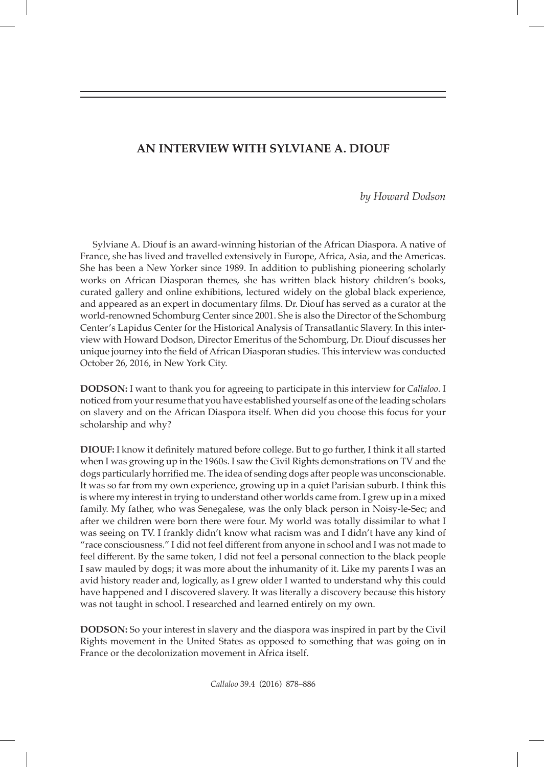#### **AN INTERVIEW WITH SYLVIANE A. DIOUF**

*by Howard Dodson*

Sylviane A. Diouf is an award-winning historian of the African Diaspora. A native of France, she has lived and travelled extensively in Europe, Africa, Asia, and the Americas. She has been a New Yorker since 1989. In addition to publishing pioneering scholarly works on African Diasporan themes, she has written black history children's books, curated gallery and online exhibitions, lectured widely on the global black experience, and appeared as an expert in documentary films. Dr. Diouf has served as a curator at the world-renowned Schomburg Center since 2001. She is also the Director of the Schomburg Center's Lapidus Center for the Historical Analysis of Transatlantic Slavery. In this interview with Howard Dodson, Director Emeritus of the Schomburg, Dr. Diouf discusses her unique journey into the field of African Diasporan studies. This interview was conducted October 26, 2016, in New York City.

**DODSON:** I want to thank you for agreeing to participate in this interview for *Callaloo*. I noticed from your resume that you have established yourself as one of the leading scholars on slavery and on the African Diaspora itself. When did you choose this focus for your scholarship and why?

**DIOUF:** I know it definitely matured before college. But to go further, I think it all started when I was growing up in the 1960s. I saw the Civil Rights demonstrations on TV and the dogs particularly horrified me. The idea of sending dogs after people was unconscionable. It was so far from my own experience, growing up in a quiet Parisian suburb. I think this is where my interest in trying to understand other worlds came from. I grew up in a mixed family. My father, who was Senegalese, was the only black person in Noisy-le-Sec; and after we children were born there were four. My world was totally dissimilar to what I was seeing on TV. I frankly didn't know what racism was and I didn't have any kind of "race consciousness." I did not feel different from anyone in school and I was not made to feel different. By the same token, I did not feel a personal connection to the black people I saw mauled by dogs; it was more about the inhumanity of it. Like my parents I was an avid history reader and, logically, as I grew older I wanted to understand why this could have happened and I discovered slavery. It was literally a discovery because this history was not taught in school. I researched and learned entirely on my own.

**DODSON:** So your interest in slavery and the diaspora was inspired in part by the Civil Rights movement in the United States as opposed to something that was going on in France or the decolonization movement in Africa itself.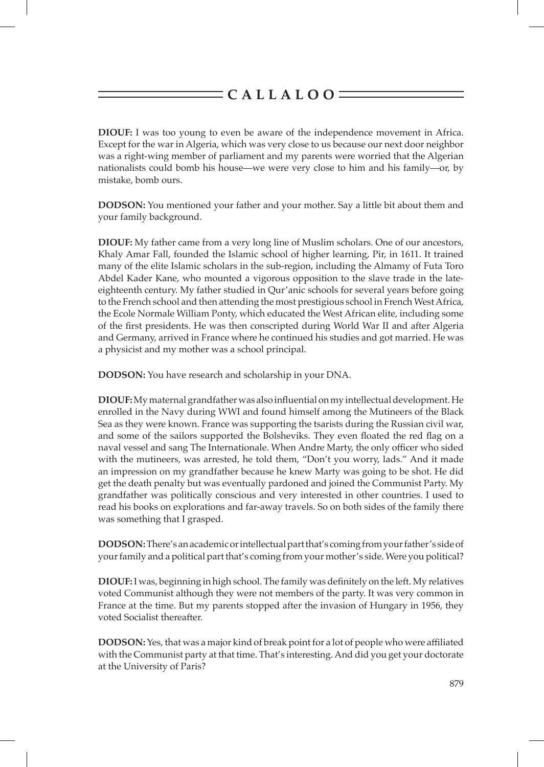**DIOUF:** I was too young to even be aware of the independence movement in Africa. Except for the war in Algeria, which was very close to us because our next door neighbor was a right-wing member of parliament and my parents were worried that the Algerian nationalists could bomb his house—we were very close to him and his family—or, by mistake, bomb ours.

**DODSON:** You mentioned your father and your mother. Say a little bit about them and your family background.

**DIOUF:** My father came from a very long line of Muslim scholars. One of our ancestors, Khaly Amar Fall, founded the Islamic school of higher learning, Pir, in 1611. It trained many of the elite Islamic scholars in the sub-region, including the Almamy of Futa Toro Abdel Kader Kane, who mounted a vigorous opposition to the slave trade in the lateeighteenth century. My father studied in Qur'anic schools for several years before going to the French school and then attending the most prestigious school in French West Africa, the Ecole Normale William Ponty, which educated the West African elite, including some of the first presidents. He was then conscripted during World War II and after Algeria and Germany, arrived in France where he continued his studies and got married. He was a physicist and my mother was a school principal.

**DODSON:** You have research and scholarship in your DNA.

**DIOUF:** My maternal grandfather was also influential on my intellectual development. He enrolled in the Navy during WWI and found himself among the Mutineers of the Black Sea as they were known. France was supporting the tsarists during the Russian civil war, and some of the sailors supported the Bolsheviks. They even floated the red flag on a naval vessel and sang The Internationale. When Andre Marty, the only officer who sided with the mutineers, was arrested, he told them, "Don't you worry, lads." And it made an impression on my grandfather because he knew Marty was going to be shot. He did get the death penalty but was eventually pardoned and joined the Communist Party. My grandfather was politically conscious and very interested in other countries. I used to read his books on explorations and far-away travels. So on both sides of the family there was something that I grasped.

**DODSON:** There's an academic or intellectual part that's coming from your father's side of your family and a political part that's coming from your mother's side. Were you political?

**DIOUF:** I was, beginning in high school. The family was definitely on the left. My relatives voted Communist although they were not members of the party. It was very common in France at the time. But my parents stopped after the invasion of Hungary in 1956, they voted Socialist thereafter.

**DODSON:** Yes, that was a major kind of break point for a lot of people who were affiliated with the Communist party at that time. That's interesting. And did you get your doctorate at the University of Paris?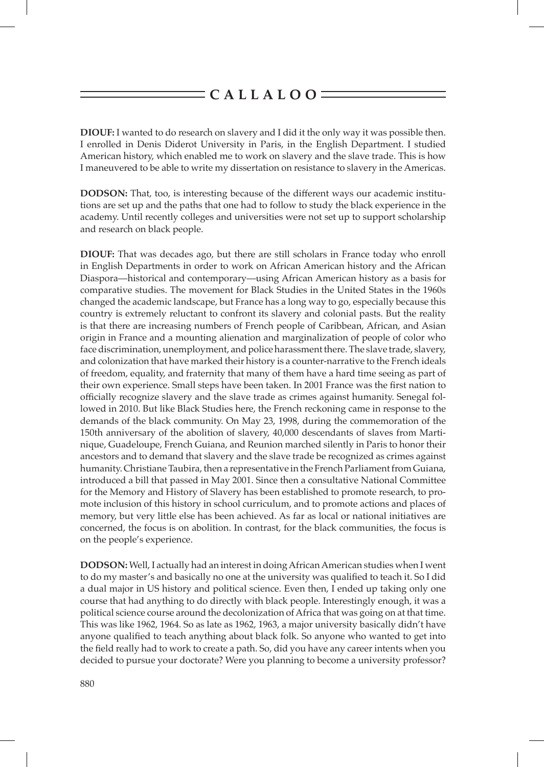**DIOUF:** I wanted to do research on slavery and I did it the only way it was possible then. I enrolled in Denis Diderot University in Paris, in the English Department. I studied American history, which enabled me to work on slavery and the slave trade. This is how I maneuvered to be able to write my dissertation on resistance to slavery in the Americas.

**DODSON:** That, too, is interesting because of the different ways our academic institutions are set up and the paths that one had to follow to study the black experience in the academy. Until recently colleges and universities were not set up to support scholarship and research on black people.

**DIOUF:** That was decades ago, but there are still scholars in France today who enroll in English Departments in order to work on African American history and the African Diaspora—historical and contemporary—using African American history as a basis for comparative studies. The movement for Black Studies in the United States in the 1960s changed the academic landscape, but France has a long way to go, especially because this country is extremely reluctant to confront its slavery and colonial pasts. But the reality is that there are increasing numbers of French people of Caribbean, African, and Asian origin in France and a mounting alienation and marginalization of people of color who face discrimination, unemployment, and police harassment there. The slave trade, slavery, and colonization that have marked their history is a counter-narrative to the French ideals of freedom, equality, and fraternity that many of them have a hard time seeing as part of their own experience. Small steps have been taken. In 2001 France was the first nation to officially recognize slavery and the slave trade as crimes against humanity. Senegal followed in 2010. But like Black Studies here, the French reckoning came in response to the demands of the black community. On May 23, 1998, during the commemoration of the 150th anniversary of the abolition of slavery, 40,000 descendants of slaves from Martinique, Guadeloupe, French Guiana, and Reunion marched silently in Paris to honor their ancestors and to demand that slavery and the slave trade be recognized as crimes against humanity. Christiane Taubira, then a representative in the French Parliament from Guiana, introduced a bill that passed in May 2001. Since then a consultative National Committee for the Memory and History of Slavery has been established to promote research, to promote inclusion of this history in school curriculum, and to promote actions and places of memory, but very little else has been achieved. As far as local or national initiatives are concerned, the focus is on abolition. In contrast, for the black communities, the focus is on the people's experience.

**DODSON:** Well, I actually had an interest in doing African American studies when I went to do my master's and basically no one at the university was qualified to teach it. So I did a dual major in US history and political science. Even then, I ended up taking only one course that had anything to do directly with black people. Interestingly enough, it was a political science course around the decolonization of Africa that was going on at that time. This was like 1962, 1964. So as late as 1962, 1963, a major university basically didn't have anyone qualified to teach anything about black folk. So anyone who wanted to get into the field really had to work to create a path. So, did you have any career intents when you decided to pursue your doctorate? Were you planning to become a university professor?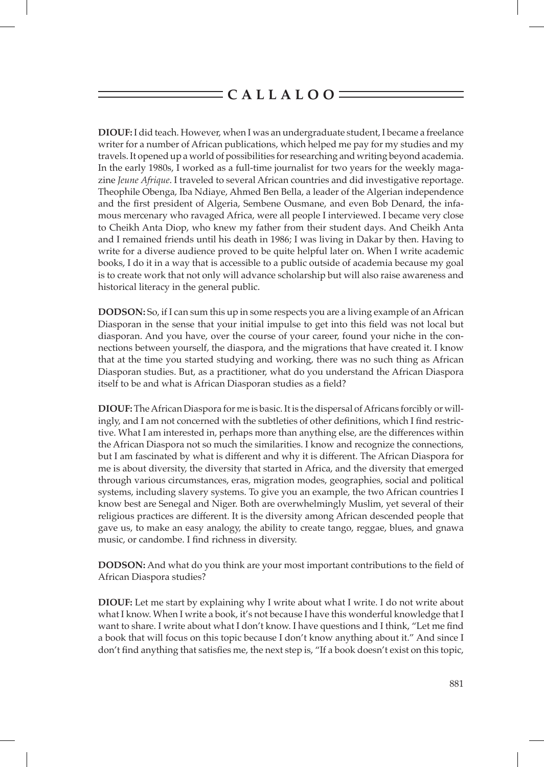**DIOUF:** I did teach. However, when I was an undergraduate student, I became a freelance writer for a number of African publications, which helped me pay for my studies and my travels. It opened up a world of possibilities for researching and writing beyond academia. In the early 1980s, I worked as a full-time journalist for two years for the weekly magazine *Jeune Afrique*. I traveled to several African countries and did investigative reportage. Theophile Obenga, Iba Ndiaye, Ahmed Ben Bella, a leader of the Algerian independence and the first president of Algeria, Sembene Ousmane, and even Bob Denard, the infamous mercenary who ravaged Africa, were all people I interviewed. I became very close to Cheikh Anta Diop, who knew my father from their student days. And Cheikh Anta and I remained friends until his death in 1986; I was living in Dakar by then. Having to write for a diverse audience proved to be quite helpful later on. When I write academic books, I do it in a way that is accessible to a public outside of academia because my goal is to create work that not only will advance scholarship but will also raise awareness and historical literacy in the general public.

**DODSON:** So, if I can sum this up in some respects you are a living example of an African Diasporan in the sense that your initial impulse to get into this field was not local but diasporan. And you have, over the course of your career, found your niche in the connections between yourself, the diaspora, and the migrations that have created it. I know that at the time you started studying and working, there was no such thing as African Diasporan studies. But, as a practitioner, what do you understand the African Diaspora itself to be and what is African Diasporan studies as a field?

**DIOUF:** The African Diaspora for me is basic. It is the dispersal of Africans forcibly or willingly, and I am not concerned with the subtleties of other definitions, which I find restrictive. What I am interested in, perhaps more than anything else, are the differences within the African Diaspora not so much the similarities. I know and recognize the connections, but I am fascinated by what is different and why it is different. The African Diaspora for me is about diversity, the diversity that started in Africa, and the diversity that emerged through various circumstances, eras, migration modes, geographies, social and political systems, including slavery systems. To give you an example, the two African countries I know best are Senegal and Niger. Both are overwhelmingly Muslim, yet several of their religious practices are different. It is the diversity among African descended people that gave us, to make an easy analogy, the ability to create tango, reggae, blues, and gnawa music, or candombe. I find richness in diversity.

**DODSON:** And what do you think are your most important contributions to the field of African Diaspora studies?

**DIOUF:** Let me start by explaining why I write about what I write. I do not write about what I know. When I write a book, it's not because I have this wonderful knowledge that I want to share. I write about what I don't know. I have questions and I think, "Let me find a book that will focus on this topic because I don't know anything about it." And since I don't find anything that satisfies me, the next step is, "If a book doesn't exist on this topic,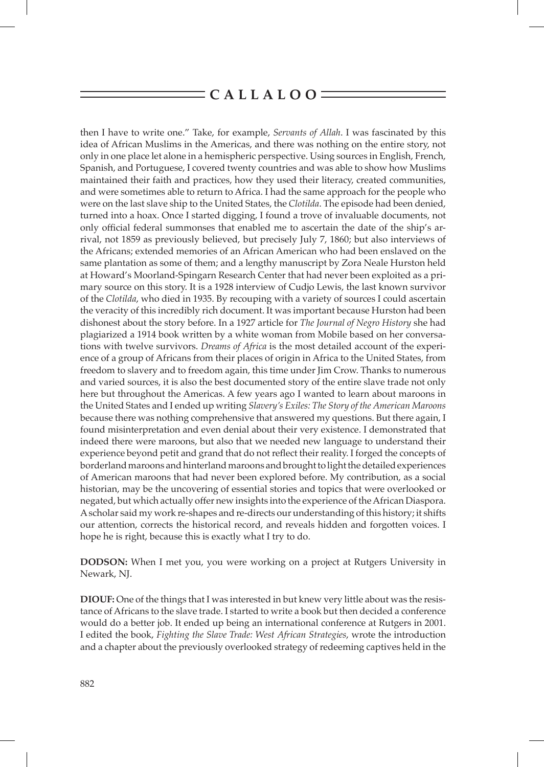then I have to write one." Take, for example, *Servants of Allah*. I was fascinated by this idea of African Muslims in the Americas, and there was nothing on the entire story, not only in one place let alone in a hemispheric perspective. Using sources in English, French, Spanish, and Portuguese, I covered twenty countries and was able to show how Muslims maintained their faith and practices, how they used their literacy, created communities, and were sometimes able to return to Africa. I had the same approach for the people who were on the last slave ship to the United States, the *Clotilda*. The episode had been denied, turned into a hoax. Once I started digging, I found a trove of invaluable documents, not only official federal summonses that enabled me to ascertain the date of the ship's arrival, not 1859 as previously believed, but precisely July 7, 1860; but also interviews of the Africans; extended memories of an African American who had been enslaved on the same plantation as some of them; and a lengthy manuscript by Zora Neale Hurston held at Howard's Moorland-Spingarn Research Center that had never been exploited as a primary source on this story. It is a 1928 interview of Cudjo Lewis, the last known survivor of the *Clotilda*, who died in 1935. By recouping with a variety of sources I could ascertain the veracity of this incredibly rich document. It was important because Hurston had been dishonest about the story before. In a 1927 article for *The Journal of Negro History* she had plagiarized a 1914 book written by a white woman from Mobile based on her conversations with twelve survivors. *Dreams of Africa* is the most detailed account of the experience of a group of Africans from their places of origin in Africa to the United States, from freedom to slavery and to freedom again, this time under Jim Crow. Thanks to numerous and varied sources, it is also the best documented story of the entire slave trade not only here but throughout the Americas. A few years ago I wanted to learn about maroons in the United States and I ended up writing *Slavery's Exiles: The Story of the American Maroons* because there was nothing comprehensive that answered my questions. But there again, I found misinterpretation and even denial about their very existence. I demonstrated that indeed there were maroons, but also that we needed new language to understand their experience beyond petit and grand that do not reflect their reality. I forged the concepts of borderland maroons and hinterland maroons and brought to light the detailed experiences of American maroons that had never been explored before. My contribution, as a social historian, may be the uncovering of essential stories and topics that were overlooked or negated, but which actually offer new insights into the experience of the African Diaspora. A scholar said my work re-shapes and re-directs our understanding of this history; it shifts our attention, corrects the historical record, and reveals hidden and forgotten voices. I hope he is right, because this is exactly what I try to do.

**DODSON:** When I met you, you were working on a project at Rutgers University in Newark, NJ.

**DIOUF:** One of the things that I was interested in but knew very little about was the resistance of Africans to the slave trade. I started to write a book but then decided a conference would do a better job. It ended up being an international conference at Rutgers in 2001. I edited the book, *Fighting the Slave Trade: West African Strategies*, wrote the introduction and a chapter about the previously overlooked strategy of redeeming captives held in the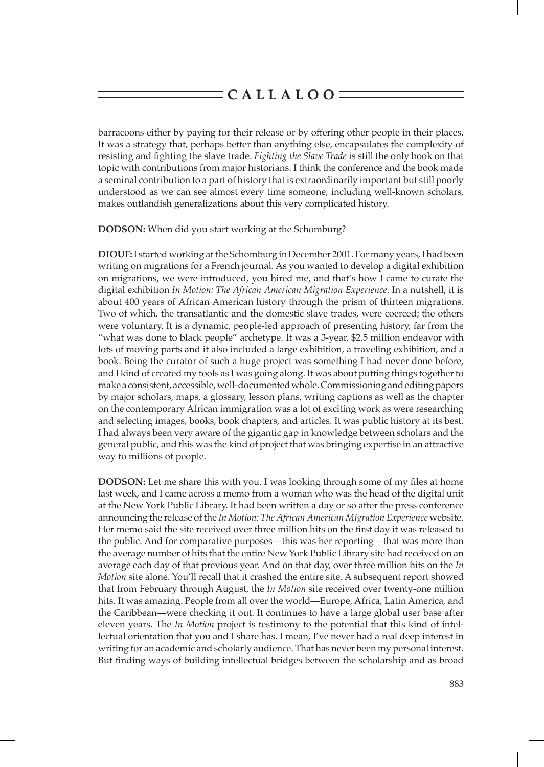barracoons either by paying for their release or by offering other people in their places. It was a strategy that, perhaps better than anything else, encapsulates the complexity of resisting and fighting the slave trade. *Fighting the Slave Trade* is still the only book on that topic with contributions from major historians. I think the conference and the book made a seminal contribution to a part of history that is extraordinarily important but still poorly understood as we can see almost every time someone, including well-known scholars, makes outlandish generalizations about this very complicated history.

**DODSON:** When did you start working at the Schomburg?

**DIOUF:** I started working at the Schomburg in December 2001. For many years, I had been writing on migrations for a French journal. As you wanted to develop a digital exhibition on migrations, we were introduced, you hired me, and that's how I came to curate the digital exhibition *In Motion: The African American Migration Experience*. In a nutshell, it is about 400 years of African American history through the prism of thirteen migrations. Two of which, the transatlantic and the domestic slave trades, were coerced; the others were voluntary. It is a dynamic, people-led approach of presenting history, far from the "what was done to black people" archetype. It was a 3-year, \$2.5 million endeavor with lots of moving parts and it also included a large exhibition, a traveling exhibition, and a book. Being the curator of such a huge project was something I had never done before, and I kind of created my tools as I was going along. It was about putting things together to make a consistent, accessible, well-documented whole. Commissioning and editing papers by major scholars, maps, a glossary, lesson plans, writing captions as well as the chapter on the contemporary African immigration was a lot of exciting work as were researching and selecting images, books, book chapters, and articles. It was public history at its best. I had always been very aware of the gigantic gap in knowledge between scholars and the general public, and this was the kind of project that was bringing expertise in an attractive way to millions of people.

**DODSON:** Let me share this with you. I was looking through some of my files at home last week, and I came across a memo from a woman who was the head of the digital unit at the New York Public Library. It had been written a day or so after the press conference announcing the release of the *In Motion: The African American Migration Experience* website. Her memo said the site received over three million hits on the first day it was released to the public. And for comparative purposes—this was her reporting—that was more than the average number of hits that the entire New York Public Library site had received on an average each day of that previous year. And on that day, over three million hits on the *In Motion* site alone. You'll recall that it crashed the entire site. A subsequent report showed that from February through August, the *In Motion* site received over twenty-one million hits. It was amazing. People from all over the world—Europe, Africa, Latin America, and the Caribbean—were checking it out. It continues to have a large global user base after eleven years. The *In Motion* project is testimony to the potential that this kind of intellectual orientation that you and I share has. I mean, I've never had a real deep interest in writing for an academic and scholarly audience. That has never been my personal interest. But finding ways of building intellectual bridges between the scholarship and as broad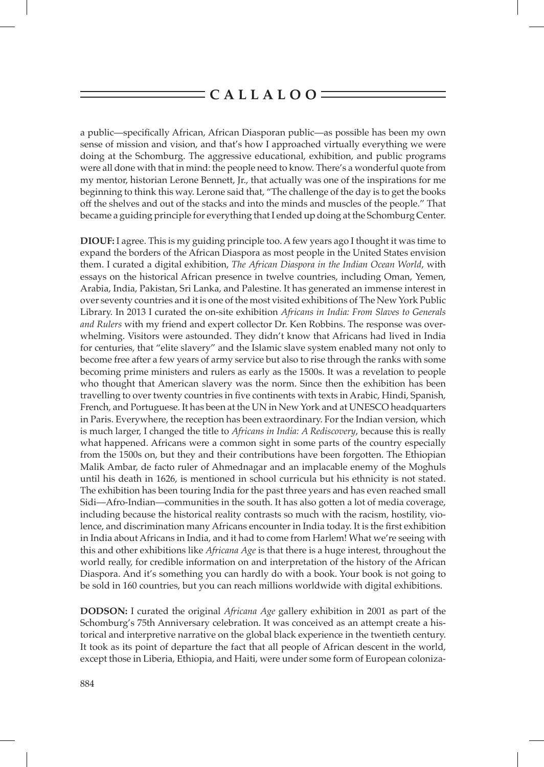a public—specifically African, African Diasporan public—as possible has been my own sense of mission and vision, and that's how I approached virtually everything we were doing at the Schomburg. The aggressive educational, exhibition, and public programs were all done with that in mind: the people need to know. There's a wonderful quote from my mentor, historian Lerone Bennett, Jr., that actually was one of the inspirations for me beginning to think this way. Lerone said that, "The challenge of the day is to get the books off the shelves and out of the stacks and into the minds and muscles of the people." That became a guiding principle for everything that I ended up doing at the Schomburg Center.

**DIOUF:** I agree. This is my guiding principle too. A few years ago I thought it was time to expand the borders of the African Diaspora as most people in the United States envision them. I curated a digital exhibition, *The African Diaspora in the Indian Ocean World*, with essays on the historical African presence in twelve countries, including Oman, Yemen, Arabia, India, Pakistan, Sri Lanka, and Palestine. It has generated an immense interest in over seventy countries and it is one of the most visited exhibitions of The New York Public Library. In 2013 I curated the on-site exhibition *Africans in India: From Slaves to Generals and Rulers* with my friend and expert collector Dr. Ken Robbins. The response was overwhelming. Visitors were astounded. They didn't know that Africans had lived in India for centuries, that "elite slavery" and the Islamic slave system enabled many not only to become free after a few years of army service but also to rise through the ranks with some becoming prime ministers and rulers as early as the 1500s. It was a revelation to people who thought that American slavery was the norm. Since then the exhibition has been travelling to over twenty countries in five continents with texts in Arabic, Hindi, Spanish, French, and Portuguese. It has been at the UN in New York and at UNESCO headquarters in Paris. Everywhere, the reception has been extraordinary. For the Indian version, which is much larger, I changed the title to *Africans in India: A Rediscovery*, because this is really what happened. Africans were a common sight in some parts of the country especially from the 1500s on, but they and their contributions have been forgotten. The Ethiopian Malik Ambar, de facto ruler of Ahmednagar and an implacable enemy of the Moghuls until his death in 1626, is mentioned in school curricula but his ethnicity is not stated. The exhibition has been touring India for the past three years and has even reached small Sidi—Afro-Indian—communities in the south. It has also gotten a lot of media coverage, including because the historical reality contrasts so much with the racism, hostility, violence, and discrimination many Africans encounter in India today. It is the first exhibition in India about Africans in India, and it had to come from Harlem! What we're seeing with this and other exhibitions like *Africana Age* is that there is a huge interest, throughout the world really, for credible information on and interpretation of the history of the African Diaspora. And it's something you can hardly do with a book. Your book is not going to be sold in 160 countries, but you can reach millions worldwide with digital exhibitions.

**DODSON:** I curated the original *Africana Age* gallery exhibition in 2001 as part of the Schomburg's 75th Anniversary celebration. It was conceived as an attempt create a historical and interpretive narrative on the global black experience in the twentieth century. It took as its point of departure the fact that all people of African descent in the world, except those in Liberia, Ethiopia, and Haiti, were under some form of European coloniza-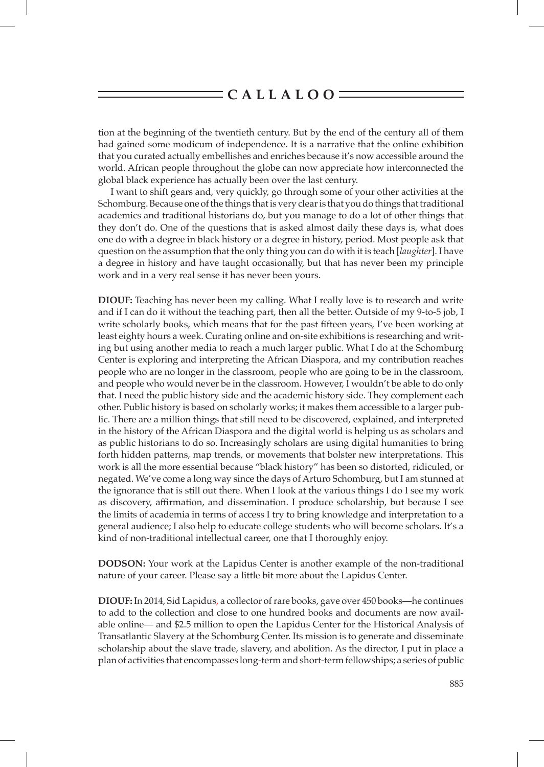tion at the beginning of the twentieth century. But by the end of the century all of them had gained some modicum of independence. It is a narrative that the online exhibition that you curated actually embellishes and enriches because it's now accessible around the world. African people throughout the globe can now appreciate how interconnected the global black experience has actually been over the last century.

I want to shift gears and, very quickly, go through some of your other activities at the Schomburg. Because one of the things that is very clear is that you do things that traditional academics and traditional historians do, but you manage to do a lot of other things that they don't do. One of the questions that is asked almost daily these days is, what does one do with a degree in black history or a degree in history, period. Most people ask that question on the assumption that the only thing you can do with it is teach [*laughter*]. I have a degree in history and have taught occasionally, but that has never been my principle work and in a very real sense it has never been yours.

**DIOUF:** Teaching has never been my calling. What I really love is to research and write and if I can do it without the teaching part, then all the better. Outside of my 9-to-5 job, I write scholarly books, which means that for the past fifteen years, I've been working at least eighty hours a week. Curating online and on-site exhibitions is researching and writing but using another media to reach a much larger public. What I do at the Schomburg Center is exploring and interpreting the African Diaspora, and my contribution reaches people who are no longer in the classroom, people who are going to be in the classroom, and people who would never be in the classroom. However, I wouldn't be able to do only that. I need the public history side and the academic history side. They complement each other. Public history is based on scholarly works; it makes them accessible to a larger public. There are a million things that still need to be discovered, explained, and interpreted in the history of the African Diaspora and the digital world is helping us as scholars and as public historians to do so. Increasingly scholars are using digital humanities to bring forth hidden patterns, map trends, or movements that bolster new interpretations. This work is all the more essential because "black history" has been so distorted, ridiculed, or negated. We've come a long way since the days of Arturo Schomburg, but I am stunned at the ignorance that is still out there. When I look at the various things I do I see my work as discovery, affirmation, and dissemination. I produce scholarship, but because I see the limits of academia in terms of access I try to bring knowledge and interpretation to a general audience; I also help to educate college students who will become scholars. It's a kind of non-traditional intellectual career, one that I thoroughly enjoy.

**DODSON:** Your work at the Lapidus Center is another example of the non-traditional nature of your career. Please say a little bit more about the Lapidus Center.

**DIOUF:** In 2014, Sid Lapidus, a collector of rare books, gave over 450 books—he continues to add to the collection and close to one hundred books and documents are now available online— and \$2.5 million to open the Lapidus Center for the Historical Analysis of Transatlantic Slavery at the Schomburg Center. Its mission is to generate and disseminate scholarship about the slave trade, slavery, and abolition. As the director, I put in place a plan of activities that encompasses long-term and short-term fellowships; a series of public